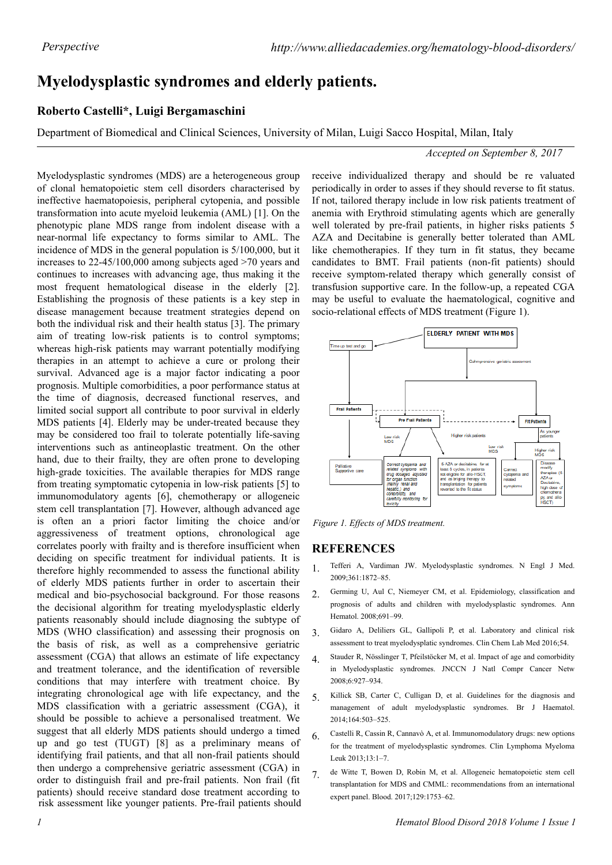# **Myelodysplastic syndromes and elderly patients.**

## **Roberto Castelli\*, Luigi Bergamaschini**

Department of Biomedical and Clinical Sciences, University of Milan, Luigi Sacco Hospital, Milan, Italy

#### *Accepted on September 8, 2017*

Myelodysplastic syndromes (MDS) are a heterogeneous group of clonal hematopoietic stem cell disorders characterised by ineffective haematopoiesis, peripheral cytopenia, and possible transformation into acute myeloid leukemia (AML) [1]. On the phenotypic plane MDS range from indolent disease with a near-normal life expectancy to forms similar to AML. The incidence of MDS in the general population is 5/100,000, but it increases to 22-45/100,000 among subjects aged >70 years and continues to increases with advancing age, thus making it the most frequent hematological disease in the elderly [2]. Establishing the prognosis of these patients is a key step in disease management because treatment strategies depend on both the individual risk and their health status [3]. The primary aim of treating low-risk patients is to control symptoms; whereas high-risk patients may warrant potentially modifying therapies in an attempt to achieve a cure or prolong their survival. Advanced age is a major factor indicating a poor prognosis. Multiple comorbidities, a poor performance status at the time of diagnosis, decreased functional reserves, and limited social support all contribute to poor survival in elderly MDS patients [4]. Elderly may be under-treated because they may be considered too frail to tolerate potentially life-saving interventions such as antineoplastic treatment. On the other hand, due to their frailty, they are often prone to developing high-grade toxicities. The available therapies for MDS range from treating symptomatic cytopenia in low-risk patients [5] to immunomodulatory agents [6], chemotherapy or allogeneic stem cell transplantation [7]. However, although advanced age is often an a priori factor limiting the choice and/or aggressiveness of treatment options, chronological age correlates poorly with frailty and is therefore insufficient when deciding on specific treatment for individual patients. It is therefore highly recommended to assess the functional ability of elderly MDS patients further in order to ascertain their medical and bio-psychosocial background. For those reasons the decisional algorithm for treating myelodysplastic elderly patients reasonably should include diagnosing the subtype of MDS (WHO classification) and assessing their prognosis on the basis of risk, as well as a comprehensive geriatric assessment (CGA) that allows an estimate of life expectancy and treatment tolerance, and the identification of reversible conditions that may interfere with treatment choice. By integrating chronological age with life expectancy, and the MDS classification with a geriatric assessment (CGA), it should be possible to achieve a personalised treatment. We suggest that all elderly MDS patients should undergo a timed up and go test (TUGT) [8] as a preliminary means of identifying frail patients, and that all non-frail patients should then undergo a comprehensive geriatric assessment (CGA) in order to distinguish frail and pre-frail patients. Non frail (fit patients) should receive standard dose treatment according to risk assessment like younger patients. Pre-frail patients should receive individualized therapy and should be re valuated periodically in order to asses if they should reverse to fit status. If not, tailored therapy include in low risk patients treatment of anemia with Erythroid stimulating agents which are generally well tolerated by pre-frail patients, in higher risks patients 5 AZA and Decitabine is generally better tolerated than AML like chemotherapies. If they turn in fit status, they became candidates to BMT. Frail patients (non-fit patients) should receive symptom-related therapy which generally consist of transfusion supportive care. In the follow-up, a repeated CGA may be useful to evaluate the haematological, cognitive and socio-relational effects of MDS treatment (Figure 1).



*Figure 1. Effects of MDS treatment.*

### **REFERENCES**

- 1. Tefferi A, Vardiman JW. Myelodysplastic syndromes. N Engl J Med. 2009;361:1872–85.
- 2. Germing U, Aul C, Niemeyer CM, et al. Epidemiology, classification and prognosis of adults and children with myelodysplastic syndromes. Ann Hematol. 2008;691–99.
- 3. Gidaro A, Deliliers GL, Gallipoli P, et al. Laboratory and clinical risk assessment to treat myelodysplatic syndromes. Clin Chem Lab Med 2016;54.
- 4. Stauder R, Nösslinger T, Pfeilstöcker M, et al. Impact of age and comorbidity in Myelodysplastic syndromes. JNCCN J Natl Compr Cancer Netw 2008;6:927–934.
- 5. Killick SB, Carter C, Culligan D, et al. Guidelines for the diagnosis and management of adult myelodysplastic syndromes. Br J Haematol. 2014;164:503–525.
- 6. Castelli R, Cassin R, Cannavò A, et al. Immunomodulatory drugs: new options for the treatment of myelodysplastic syndromes. Clin Lymphoma Myeloma Leuk 2013;13:1–7.
- 7. de Witte T, Bowen D, Robin M, et al. Allogeneic hematopoietic stem cell transplantation for MDS and CMML: recommendations from an international expert panel. Blood. 2017;129:1753–62.